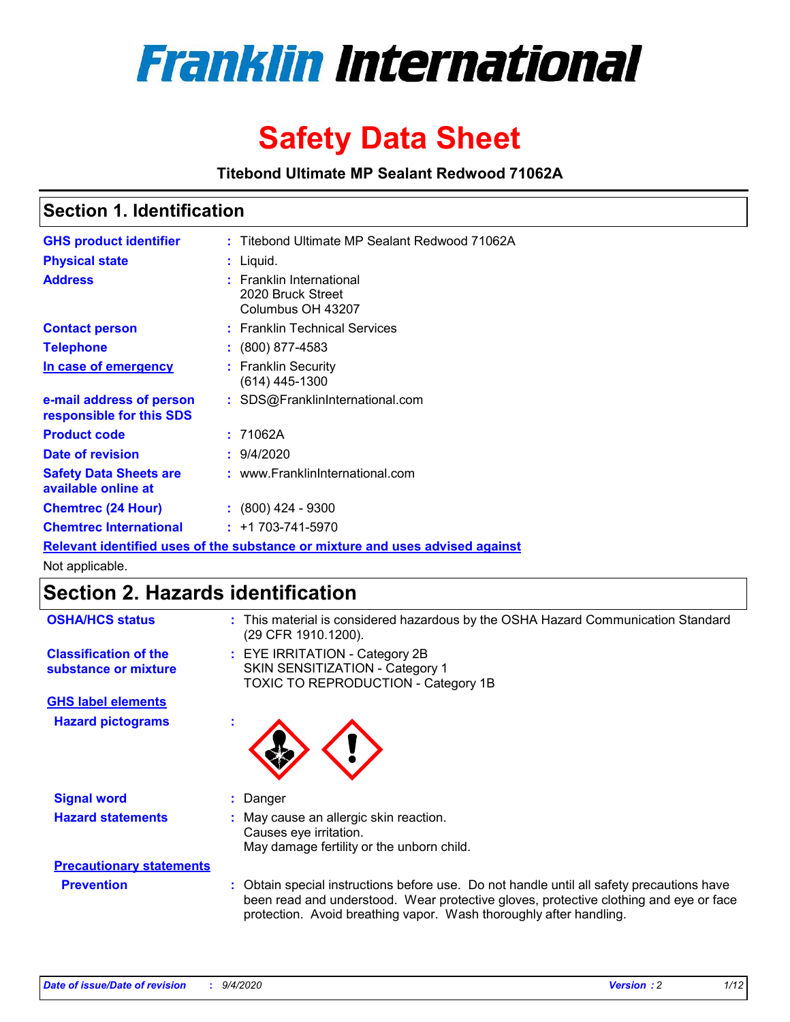

# **Safety Data Sheet**

**Titebond Ultimate MP Sealant Redwood 71062A**

### **Section 1. Identification**

| <b>GHS product identifier</b>                        | : Titebond Ultimate MP Sealant Redwood 71062A                                 |
|------------------------------------------------------|-------------------------------------------------------------------------------|
| <b>Physical state</b>                                | : Liquid.                                                                     |
| <b>Address</b>                                       | <b>Franklin International</b><br>2020 Bruck Street<br>Columbus OH 43207       |
| <b>Contact person</b>                                | : Franklin Technical Services                                                 |
| <b>Telephone</b>                                     | $\div$ (800) 877-4583                                                         |
| In case of emergency                                 | : Franklin Security<br>$(614)$ 445-1300                                       |
| e-mail address of person<br>responsible for this SDS | : SDS@FranklinInternational.com                                               |
| <b>Product code</b>                                  | : 71062A                                                                      |
| Date of revision                                     | : 9/4/2020                                                                    |
| <b>Safety Data Sheets are</b><br>available online at | : www.FranklinInternational.com                                               |
| <b>Chemtrec (24 Hour)</b>                            | $: (800)$ 424 - 9300                                                          |
| <b>Chemtrec International</b>                        | $: +1703 - 741 - 5970$                                                        |
|                                                      | Relevant identified uses of the substance or mixture and uses advised against |

Not applicable.

## **Section 2. Hazards identification**

| <b>OSHA/HCS status</b>                               |    | : This material is considered hazardous by the OSHA Hazard Communication Standard<br>(29 CFR 1910.1200).                                                                                                                                                 |
|------------------------------------------------------|----|----------------------------------------------------------------------------------------------------------------------------------------------------------------------------------------------------------------------------------------------------------|
| <b>Classification of the</b><br>substance or mixture |    | : EYE IRRITATION - Category 2B<br>SKIN SENSITIZATION - Category 1<br>TOXIC TO REPRODUCTION - Category 1B                                                                                                                                                 |
| <b>GHS label elements</b>                            |    |                                                                                                                                                                                                                                                          |
| <b>Hazard pictograms</b>                             | ×. |                                                                                                                                                                                                                                                          |
| <b>Signal word</b>                                   |    | : Danger                                                                                                                                                                                                                                                 |
| <b>Hazard statements</b>                             |    | May cause an allergic skin reaction.<br>Causes eye irritation.<br>May damage fertility or the unborn child.                                                                                                                                              |
| <b>Precautionary statements</b>                      |    |                                                                                                                                                                                                                                                          |
| <b>Prevention</b>                                    |    | : Obtain special instructions before use. Do not handle until all safety precautions have<br>been read and understood. Wear protective gloves, protective clothing and eye or face<br>protection. Avoid breathing vapor. Wash thoroughly after handling. |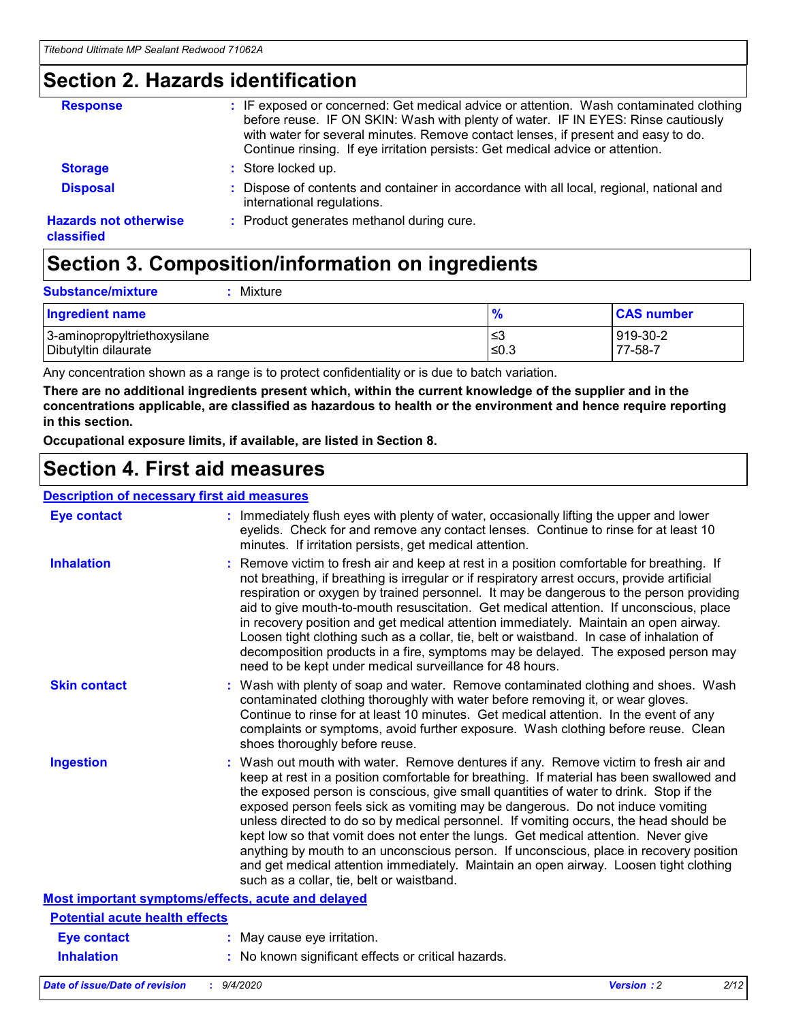### **Section 2. Hazards identification**

| <b>Response</b>                            | : IF exposed or concerned: Get medical advice or attention. Wash contaminated clothing<br>before reuse. IF ON SKIN: Wash with plenty of water. IF IN EYES: Rinse cautiously<br>with water for several minutes. Remove contact lenses, if present and easy to do.<br>Continue rinsing. If eye irritation persists: Get medical advice or attention. |
|--------------------------------------------|----------------------------------------------------------------------------------------------------------------------------------------------------------------------------------------------------------------------------------------------------------------------------------------------------------------------------------------------------|
| <b>Storage</b>                             | : Store locked up.                                                                                                                                                                                                                                                                                                                                 |
| <b>Disposal</b>                            | : Dispose of contents and container in accordance with all local, regional, national and<br>international regulations.                                                                                                                                                                                                                             |
| <b>Hazards not otherwise</b><br>classified | : Product generates methanol during cure.                                                                                                                                                                                                                                                                                                          |

# **Section 3. Composition/information on ingredients**

| <b>Ingredient name</b>       | $\frac{9}{6}$ | <b>CAS number</b> |
|------------------------------|---------------|-------------------|
| 3-aminopropyltriethoxysilane | ≤3            | 919-30-2          |
| Dibutyltin dilaurate         | ∣≤0.3         | 77-58-7           |

Any concentration shown as a range is to protect confidentiality or is due to batch variation.

**There are no additional ingredients present which, within the current knowledge of the supplier and in the concentrations applicable, are classified as hazardous to health or the environment and hence require reporting in this section.**

**Occupational exposure limits, if available, are listed in Section 8.**

### **Section 4. First aid measures**

| <b>Description of necessary first aid measures</b> |                                                                                                                                                                                                                                                                                                                                                                                                                                                                                                                                                                                                                                                                                                                                                                           |
|----------------------------------------------------|---------------------------------------------------------------------------------------------------------------------------------------------------------------------------------------------------------------------------------------------------------------------------------------------------------------------------------------------------------------------------------------------------------------------------------------------------------------------------------------------------------------------------------------------------------------------------------------------------------------------------------------------------------------------------------------------------------------------------------------------------------------------------|
| <b>Eye contact</b>                                 | : Immediately flush eyes with plenty of water, occasionally lifting the upper and lower<br>eyelids. Check for and remove any contact lenses. Continue to rinse for at least 10<br>minutes. If irritation persists, get medical attention.                                                                                                                                                                                                                                                                                                                                                                                                                                                                                                                                 |
| <b>Inhalation</b>                                  | : Remove victim to fresh air and keep at rest in a position comfortable for breathing. If<br>not breathing, if breathing is irregular or if respiratory arrest occurs, provide artificial<br>respiration or oxygen by trained personnel. It may be dangerous to the person providing<br>aid to give mouth-to-mouth resuscitation. Get medical attention. If unconscious, place<br>in recovery position and get medical attention immediately. Maintain an open airway.<br>Loosen tight clothing such as a collar, tie, belt or waistband. In case of inhalation of<br>decomposition products in a fire, symptoms may be delayed. The exposed person may<br>need to be kept under medical surveillance for 48 hours.                                                       |
| <b>Skin contact</b>                                | : Wash with plenty of soap and water. Remove contaminated clothing and shoes. Wash<br>contaminated clothing thoroughly with water before removing it, or wear gloves.<br>Continue to rinse for at least 10 minutes. Get medical attention. In the event of any<br>complaints or symptoms, avoid further exposure. Wash clothing before reuse. Clean<br>shoes thoroughly before reuse.                                                                                                                                                                                                                                                                                                                                                                                     |
| <b>Ingestion</b>                                   | : Wash out mouth with water. Remove dentures if any. Remove victim to fresh air and<br>keep at rest in a position comfortable for breathing. If material has been swallowed and<br>the exposed person is conscious, give small quantities of water to drink. Stop if the<br>exposed person feels sick as vomiting may be dangerous. Do not induce vomiting<br>unless directed to do so by medical personnel. If vomiting occurs, the head should be<br>kept low so that vomit does not enter the lungs. Get medical attention. Never give<br>anything by mouth to an unconscious person. If unconscious, place in recovery position<br>and get medical attention immediately. Maintain an open airway. Loosen tight clothing<br>such as a collar, tie, belt or waistband. |
| Most important symptoms/effects, acute and delayed |                                                                                                                                                                                                                                                                                                                                                                                                                                                                                                                                                                                                                                                                                                                                                                           |
| <b>Potential acute health effects</b>              |                                                                                                                                                                                                                                                                                                                                                                                                                                                                                                                                                                                                                                                                                                                                                                           |
| <b>Eye contact</b>                                 | : May cause eye irritation.                                                                                                                                                                                                                                                                                                                                                                                                                                                                                                                                                                                                                                                                                                                                               |
| <b>Inhalation</b>                                  | : No known significant effects or critical hazards.                                                                                                                                                                                                                                                                                                                                                                                                                                                                                                                                                                                                                                                                                                                       |
|                                                    |                                                                                                                                                                                                                                                                                                                                                                                                                                                                                                                                                                                                                                                                                                                                                                           |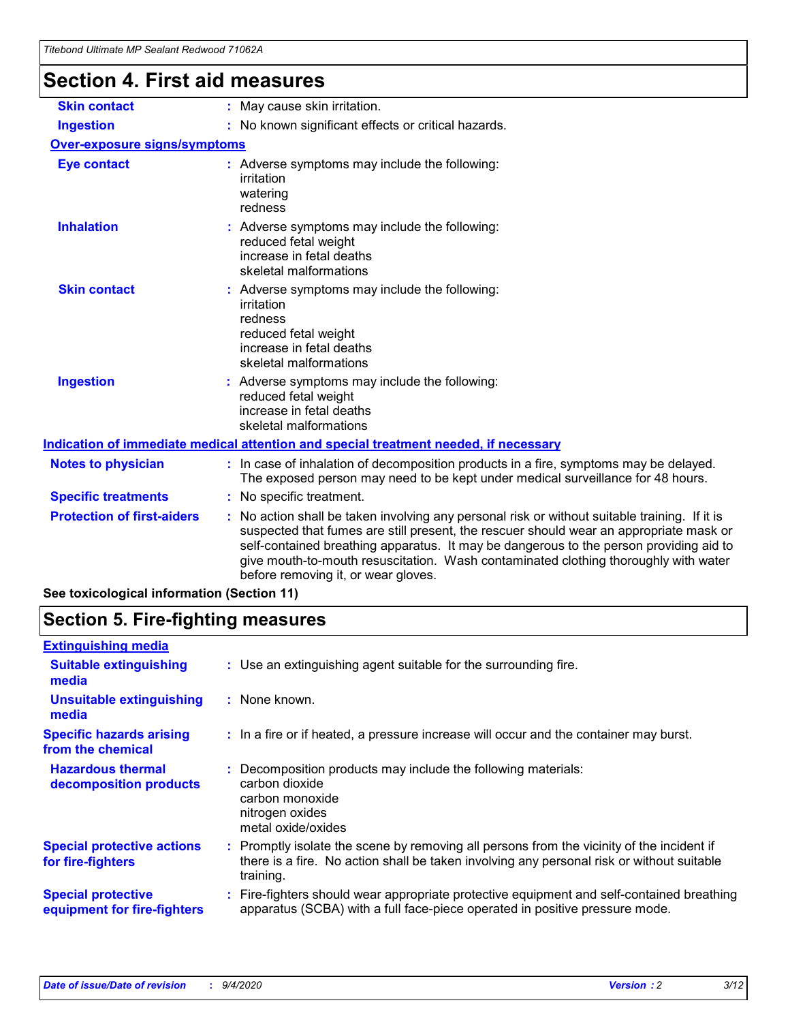# **Section 4. First aid measures**

| <b>Skin contact</b>                        | May cause skin irritation.<br>÷.                                                                                                                                                                                                                                                                                                                                                                              |
|--------------------------------------------|---------------------------------------------------------------------------------------------------------------------------------------------------------------------------------------------------------------------------------------------------------------------------------------------------------------------------------------------------------------------------------------------------------------|
| <b>Ingestion</b>                           | No known significant effects or critical hazards.                                                                                                                                                                                                                                                                                                                                                             |
| <b>Over-exposure signs/symptoms</b>        |                                                                                                                                                                                                                                                                                                                                                                                                               |
| <b>Eye contact</b>                         | : Adverse symptoms may include the following:<br>irritation<br>watering<br>redness                                                                                                                                                                                                                                                                                                                            |
| <b>Inhalation</b>                          | : Adverse symptoms may include the following:<br>reduced fetal weight<br>increase in fetal deaths<br>skeletal malformations                                                                                                                                                                                                                                                                                   |
| <b>Skin contact</b>                        | Adverse symptoms may include the following:<br>irritation<br>redness<br>reduced fetal weight<br>increase in fetal deaths<br>skeletal malformations                                                                                                                                                                                                                                                            |
| <b>Ingestion</b>                           | : Adverse symptoms may include the following:<br>reduced fetal weight<br>increase in fetal deaths<br>skeletal malformations                                                                                                                                                                                                                                                                                   |
|                                            | Indication of immediate medical attention and special treatment needed, if necessary                                                                                                                                                                                                                                                                                                                          |
| <b>Notes to physician</b>                  | : In case of inhalation of decomposition products in a fire, symptoms may be delayed.<br>The exposed person may need to be kept under medical surveillance for 48 hours.                                                                                                                                                                                                                                      |
| <b>Specific treatments</b>                 | : No specific treatment.                                                                                                                                                                                                                                                                                                                                                                                      |
| <b>Protection of first-aiders</b>          | No action shall be taken involving any personal risk or without suitable training. If it is<br>suspected that fumes are still present, the rescuer should wear an appropriate mask or<br>self-contained breathing apparatus. It may be dangerous to the person providing aid to<br>give mouth-to-mouth resuscitation. Wash contaminated clothing thoroughly with water<br>before removing it, or wear gloves. |
| See toxicological information (Section 11) |                                                                                                                                                                                                                                                                                                                                                                                                               |

# **Section 5. Fire-fighting measures**

| <b>Extinguishing media</b><br>: Use an extinguishing agent suitable for the surrounding fire.<br><b>Suitable extinguishing</b><br>media<br><b>Unsuitable extinguishing</b><br>: None known.<br>media<br><b>Specific hazards arising</b><br>: In a fire or if heated, a pressure increase will occur and the container may burst.<br>from the chemical<br><b>Hazardous thermal</b><br>Decomposition products may include the following materials:<br>carbon dioxide<br>decomposition products<br>carbon monoxide<br>nitrogen oxides<br>metal oxide/oxides<br><b>Special protective actions</b><br>: Promptly isolate the scene by removing all persons from the vicinity of the incident if<br>there is a fire. No action shall be taken involving any personal risk or without suitable<br>for fire-fighters<br>training.<br><b>Special protective</b><br>apparatus (SCBA) with a full face-piece operated in positive pressure mode.<br>equipment for fire-fighters |                                                                                           |
|----------------------------------------------------------------------------------------------------------------------------------------------------------------------------------------------------------------------------------------------------------------------------------------------------------------------------------------------------------------------------------------------------------------------------------------------------------------------------------------------------------------------------------------------------------------------------------------------------------------------------------------------------------------------------------------------------------------------------------------------------------------------------------------------------------------------------------------------------------------------------------------------------------------------------------------------------------------------|-------------------------------------------------------------------------------------------|
|                                                                                                                                                                                                                                                                                                                                                                                                                                                                                                                                                                                                                                                                                                                                                                                                                                                                                                                                                                      |                                                                                           |
|                                                                                                                                                                                                                                                                                                                                                                                                                                                                                                                                                                                                                                                                                                                                                                                                                                                                                                                                                                      |                                                                                           |
|                                                                                                                                                                                                                                                                                                                                                                                                                                                                                                                                                                                                                                                                                                                                                                                                                                                                                                                                                                      |                                                                                           |
|                                                                                                                                                                                                                                                                                                                                                                                                                                                                                                                                                                                                                                                                                                                                                                                                                                                                                                                                                                      |                                                                                           |
|                                                                                                                                                                                                                                                                                                                                                                                                                                                                                                                                                                                                                                                                                                                                                                                                                                                                                                                                                                      |                                                                                           |
|                                                                                                                                                                                                                                                                                                                                                                                                                                                                                                                                                                                                                                                                                                                                                                                                                                                                                                                                                                      |                                                                                           |
|                                                                                                                                                                                                                                                                                                                                                                                                                                                                                                                                                                                                                                                                                                                                                                                                                                                                                                                                                                      | : Fire-fighters should wear appropriate protective equipment and self-contained breathing |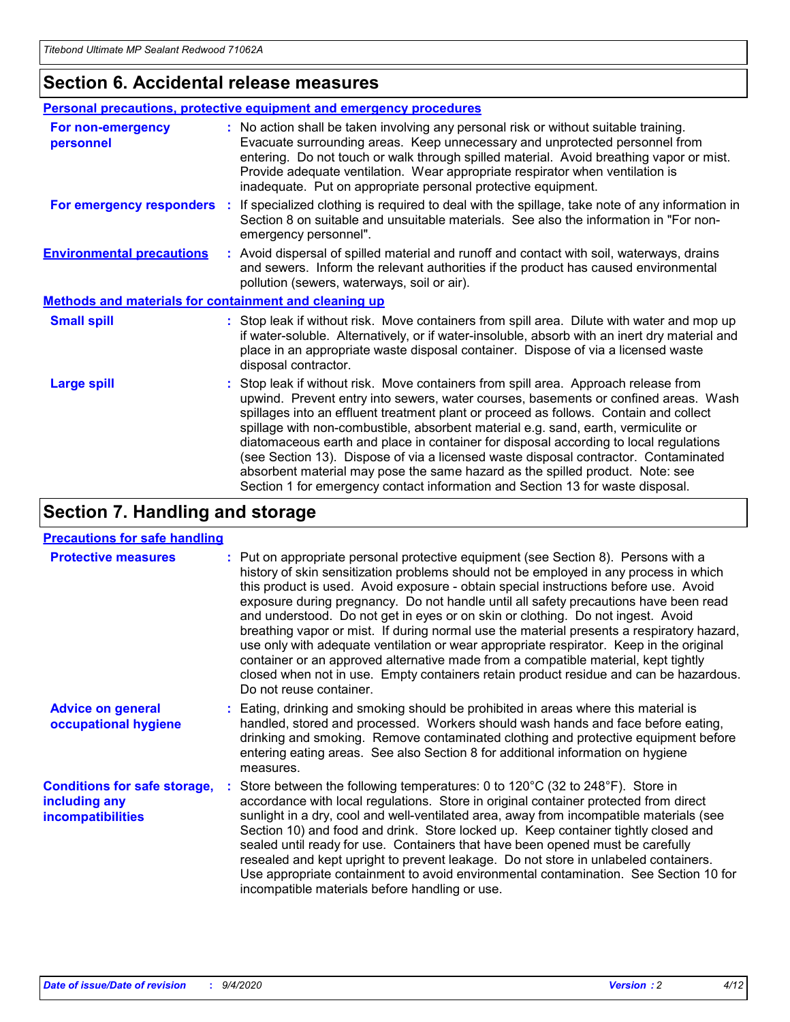### **Section 6. Accidental release measures**

|                                                              | Personal precautions, protective equipment and emergency procedures                                                                                                                                                                                                                                                                                                                                                                                                                                                                                                                                                                                                                                          |
|--------------------------------------------------------------|--------------------------------------------------------------------------------------------------------------------------------------------------------------------------------------------------------------------------------------------------------------------------------------------------------------------------------------------------------------------------------------------------------------------------------------------------------------------------------------------------------------------------------------------------------------------------------------------------------------------------------------------------------------------------------------------------------------|
| For non-emergency<br>personnel                               | : No action shall be taken involving any personal risk or without suitable training.<br>Evacuate surrounding areas. Keep unnecessary and unprotected personnel from<br>entering. Do not touch or walk through spilled material. Avoid breathing vapor or mist.<br>Provide adequate ventilation. Wear appropriate respirator when ventilation is<br>inadequate. Put on appropriate personal protective equipment.                                                                                                                                                                                                                                                                                             |
| For emergency responders                                     | : If specialized clothing is required to deal with the spillage, take note of any information in<br>Section 8 on suitable and unsuitable materials. See also the information in "For non-<br>emergency personnel".                                                                                                                                                                                                                                                                                                                                                                                                                                                                                           |
| <b>Environmental precautions</b>                             | : Avoid dispersal of spilled material and runoff and contact with soil, waterways, drains<br>and sewers. Inform the relevant authorities if the product has caused environmental<br>pollution (sewers, waterways, soil or air).                                                                                                                                                                                                                                                                                                                                                                                                                                                                              |
| <b>Methods and materials for containment and cleaning up</b> |                                                                                                                                                                                                                                                                                                                                                                                                                                                                                                                                                                                                                                                                                                              |
| <b>Small spill</b>                                           | : Stop leak if without risk. Move containers from spill area. Dilute with water and mop up<br>if water-soluble. Alternatively, or if water-insoluble, absorb with an inert dry material and<br>place in an appropriate waste disposal container. Dispose of via a licensed waste<br>disposal contractor.                                                                                                                                                                                                                                                                                                                                                                                                     |
| <b>Large spill</b>                                           | : Stop leak if without risk. Move containers from spill area. Approach release from<br>upwind. Prevent entry into sewers, water courses, basements or confined areas. Wash<br>spillages into an effluent treatment plant or proceed as follows. Contain and collect<br>spillage with non-combustible, absorbent material e.g. sand, earth, vermiculite or<br>diatomaceous earth and place in container for disposal according to local regulations<br>(see Section 13). Dispose of via a licensed waste disposal contractor. Contaminated<br>absorbent material may pose the same hazard as the spilled product. Note: see<br>Section 1 for emergency contact information and Section 13 for waste disposal. |

### **Section 7. Handling and storage**

#### **Precautions for safe handling**

| <b>Protective measures</b>                                                       | : Put on appropriate personal protective equipment (see Section 8). Persons with a<br>history of skin sensitization problems should not be employed in any process in which<br>this product is used. Avoid exposure - obtain special instructions before use. Avoid<br>exposure during pregnancy. Do not handle until all safety precautions have been read<br>and understood. Do not get in eyes or on skin or clothing. Do not ingest. Avoid<br>breathing vapor or mist. If during normal use the material presents a respiratory hazard,<br>use only with adequate ventilation or wear appropriate respirator. Keep in the original<br>container or an approved alternative made from a compatible material, kept tightly<br>closed when not in use. Empty containers retain product residue and can be hazardous.<br>Do not reuse container. |
|----------------------------------------------------------------------------------|--------------------------------------------------------------------------------------------------------------------------------------------------------------------------------------------------------------------------------------------------------------------------------------------------------------------------------------------------------------------------------------------------------------------------------------------------------------------------------------------------------------------------------------------------------------------------------------------------------------------------------------------------------------------------------------------------------------------------------------------------------------------------------------------------------------------------------------------------|
| <b>Advice on general</b><br>occupational hygiene                                 | : Eating, drinking and smoking should be prohibited in areas where this material is<br>handled, stored and processed. Workers should wash hands and face before eating,<br>drinking and smoking. Remove contaminated clothing and protective equipment before<br>entering eating areas. See also Section 8 for additional information on hygiene<br>measures.                                                                                                                                                                                                                                                                                                                                                                                                                                                                                    |
| <b>Conditions for safe storage,</b><br>including any<br><b>incompatibilities</b> | Store between the following temperatures: 0 to 120°C (32 to 248°F). Store in<br>accordance with local regulations. Store in original container protected from direct<br>sunlight in a dry, cool and well-ventilated area, away from incompatible materials (see<br>Section 10) and food and drink. Store locked up. Keep container tightly closed and<br>sealed until ready for use. Containers that have been opened must be carefully<br>resealed and kept upright to prevent leakage. Do not store in unlabeled containers.<br>Use appropriate containment to avoid environmental contamination. See Section 10 for<br>incompatible materials before handling or use.                                                                                                                                                                         |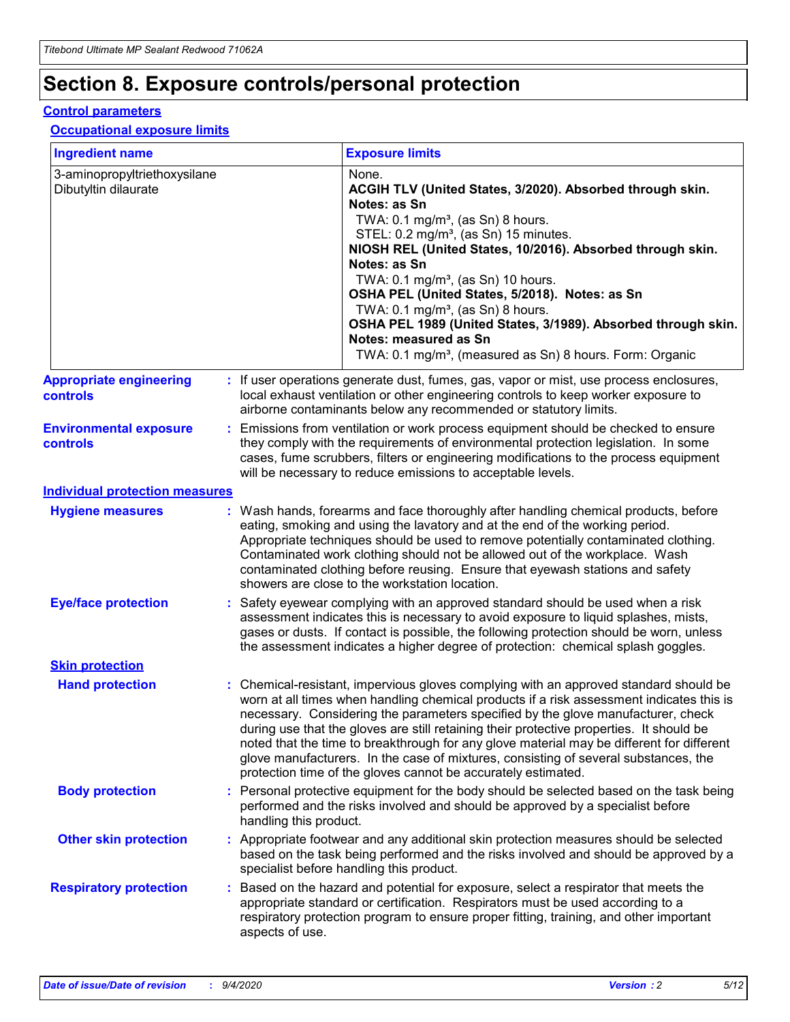# **Section 8. Exposure controls/personal protection**

#### **Control parameters**

#### **Occupational exposure limits**

| <b>Ingredient name</b>                               |    |                        | <b>Exposure limits</b>                                                                                                                                                                                                                                                                                                                                                                                                                                                                                                                                                                                                 |
|------------------------------------------------------|----|------------------------|------------------------------------------------------------------------------------------------------------------------------------------------------------------------------------------------------------------------------------------------------------------------------------------------------------------------------------------------------------------------------------------------------------------------------------------------------------------------------------------------------------------------------------------------------------------------------------------------------------------------|
| 3-aminopropyltriethoxysilane<br>Dibutyltin dilaurate |    |                        | None.<br>ACGIH TLV (United States, 3/2020). Absorbed through skin.<br>Notes: as Sn<br>TWA: $0.1 \text{ mg/m}^3$ , (as Sn) 8 hours.<br>STEL: 0.2 mg/m <sup>3</sup> , (as Sn) 15 minutes.<br>NIOSH REL (United States, 10/2016). Absorbed through skin.<br>Notes: as Sn<br>TWA: 0.1 mg/m <sup>3</sup> , (as Sn) 10 hours.<br>OSHA PEL (United States, 5/2018). Notes: as Sn<br>TWA: 0.1 mg/m <sup>3</sup> , (as Sn) 8 hours.<br>OSHA PEL 1989 (United States, 3/1989). Absorbed through skin.<br>Notes: measured as Sn<br>TWA: 0.1 mg/m <sup>3</sup> , (measured as Sn) 8 hours. Form: Organic                           |
| <b>Appropriate engineering</b><br>controls           |    |                        | : If user operations generate dust, fumes, gas, vapor or mist, use process enclosures,<br>local exhaust ventilation or other engineering controls to keep worker exposure to<br>airborne contaminants below any recommended or statutory limits.                                                                                                                                                                                                                                                                                                                                                                       |
| <b>Environmental exposure</b><br>controls            |    |                        | Emissions from ventilation or work process equipment should be checked to ensure<br>they comply with the requirements of environmental protection legislation. In some<br>cases, fume scrubbers, filters or engineering modifications to the process equipment<br>will be necessary to reduce emissions to acceptable levels.                                                                                                                                                                                                                                                                                          |
| <b>Individual protection measures</b>                |    |                        |                                                                                                                                                                                                                                                                                                                                                                                                                                                                                                                                                                                                                        |
| <b>Hygiene measures</b>                              |    |                        | : Wash hands, forearms and face thoroughly after handling chemical products, before<br>eating, smoking and using the lavatory and at the end of the working period.<br>Appropriate techniques should be used to remove potentially contaminated clothing.<br>Contaminated work clothing should not be allowed out of the workplace. Wash<br>contaminated clothing before reusing. Ensure that eyewash stations and safety<br>showers are close to the workstation location.                                                                                                                                            |
| <b>Eye/face protection</b>                           |    |                        | Safety eyewear complying with an approved standard should be used when a risk<br>assessment indicates this is necessary to avoid exposure to liquid splashes, mists,<br>gases or dusts. If contact is possible, the following protection should be worn, unless<br>the assessment indicates a higher degree of protection: chemical splash goggles.                                                                                                                                                                                                                                                                    |
| <b>Skin protection</b>                               |    |                        |                                                                                                                                                                                                                                                                                                                                                                                                                                                                                                                                                                                                                        |
| <b>Hand protection</b>                               |    |                        | : Chemical-resistant, impervious gloves complying with an approved standard should be<br>worn at all times when handling chemical products if a risk assessment indicates this is<br>necessary. Considering the parameters specified by the glove manufacturer, check<br>during use that the gloves are still retaining their protective properties. It should be<br>noted that the time to breakthrough for any glove material may be different for different<br>glove manufacturers. In the case of mixtures, consisting of several substances, the<br>protection time of the gloves cannot be accurately estimated. |
| <b>Body protection</b>                               |    | handling this product. | Personal protective equipment for the body should be selected based on the task being<br>performed and the risks involved and should be approved by a specialist before                                                                                                                                                                                                                                                                                                                                                                                                                                                |
| <b>Other skin protection</b>                         |    |                        | : Appropriate footwear and any additional skin protection measures should be selected<br>based on the task being performed and the risks involved and should be approved by a<br>specialist before handling this product.                                                                                                                                                                                                                                                                                                                                                                                              |
| <b>Respiratory protection</b>                        | ÷. | aspects of use.        | Based on the hazard and potential for exposure, select a respirator that meets the<br>appropriate standard or certification. Respirators must be used according to a<br>respiratory protection program to ensure proper fitting, training, and other important                                                                                                                                                                                                                                                                                                                                                         |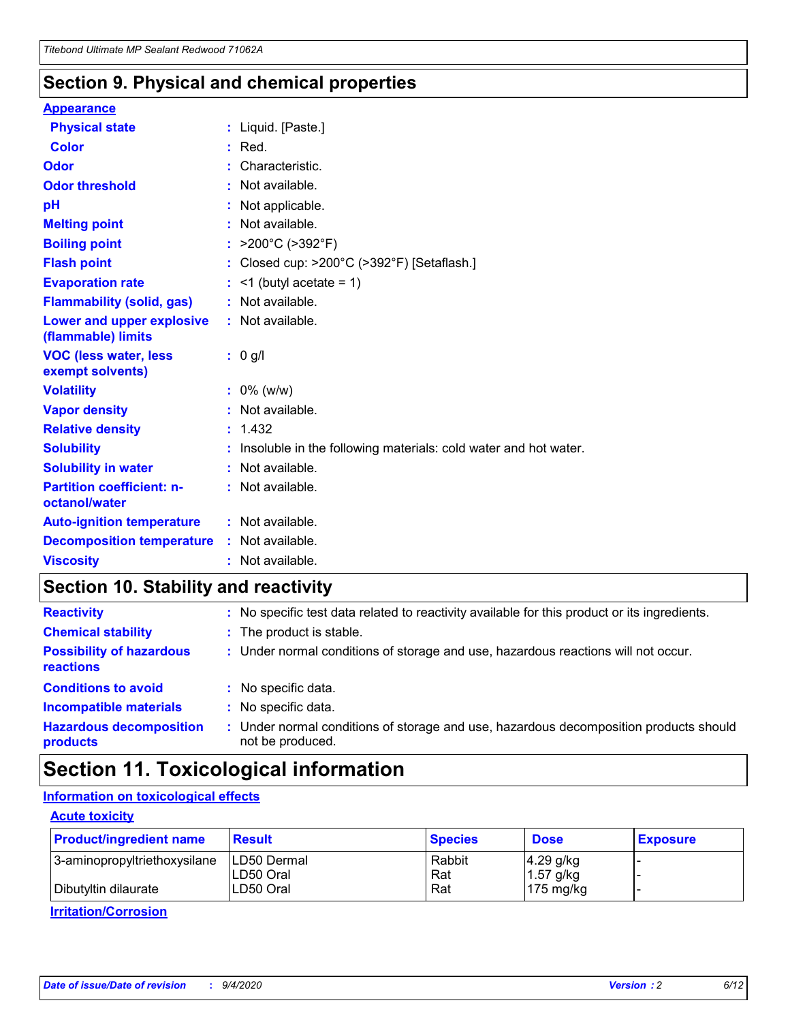### **Section 9. Physical and chemical properties**

#### **Appearance**

| <b>Physical state</b>                                  | : Liquid. [Paste.]                                              |
|--------------------------------------------------------|-----------------------------------------------------------------|
| <b>Color</b>                                           | $:$ Red.                                                        |
| Odor                                                   | Characteristic.                                                 |
| <b>Odor threshold</b>                                  | $:$ Not available.                                              |
| рH                                                     | : Not applicable.                                               |
| <b>Melting point</b>                                   | : Not available.                                                |
| <b>Boiling point</b>                                   | : $>200^{\circ}$ C ( $>392^{\circ}$ F)                          |
| <b>Flash point</b>                                     | : Closed cup: $>200^{\circ}$ C ( $>392^{\circ}$ F) [Setaflash.] |
| <b>Evaporation rate</b>                                | $:$ <1 (butyl acetate = 1)                                      |
| <b>Flammability (solid, gas)</b>                       | : Not available.                                                |
| <b>Lower and upper explosive</b><br>(flammable) limits | : Not available.                                                |
| <b>VOC (less water, less</b><br>exempt solvents)       | : 0 g/l                                                         |
| <b>Volatility</b>                                      | $: 0\%$ (w/w)                                                   |
| <b>Vapor density</b>                                   | : Not available.                                                |
|                                                        |                                                                 |
| <b>Relative density</b>                                | : 1.432                                                         |
| <b>Solubility</b>                                      | Insoluble in the following materials: cold water and hot water. |
| <b>Solubility in water</b>                             | $:$ Not available.                                              |
| <b>Partition coefficient: n-</b><br>octanol/water      | $:$ Not available.                                              |
| <b>Auto-ignition temperature</b>                       | : Not available.                                                |
| <b>Decomposition temperature</b>                       | : Not available.                                                |

### **Section 10. Stability and reactivity**

| <b>Reactivity</b>                            | : No specific test data related to reactivity available for this product or its ingredients.            |
|----------------------------------------------|---------------------------------------------------------------------------------------------------------|
| <b>Chemical stability</b>                    | : The product is stable.                                                                                |
| <b>Possibility of hazardous</b><br>reactions | : Under normal conditions of storage and use, hazardous reactions will not occur.                       |
| <b>Conditions to avoid</b>                   | : No specific data.                                                                                     |
| <b>Incompatible materials</b>                | : No specific data.                                                                                     |
| <b>Hazardous decomposition</b><br>products   | Under normal conditions of storage and use, hazardous decomposition products should<br>not be produced. |

## **Section 11. Toxicological information**

#### **Information on toxicological effects**

#### **Acute toxicity**

| <b>Product/ingredient name</b> | <b>Result</b>           | <b>Species</b> | <b>Dose</b>                | <b>Exposure</b> |
|--------------------------------|-------------------------|----------------|----------------------------|-----------------|
| 3-aminopropyltriethoxysilane   | <b>ILD50 Dermal</b>     | Rabbit         | 4.29 g/kg                  |                 |
| Dibutyltin dilaurate           | ILD50 Oral<br>LD50 Oral | Rat<br>Rat     | $1.57$ g/kg<br>175 $mg/kg$ |                 |
|                                |                         |                |                            |                 |

**Irritation/Corrosion**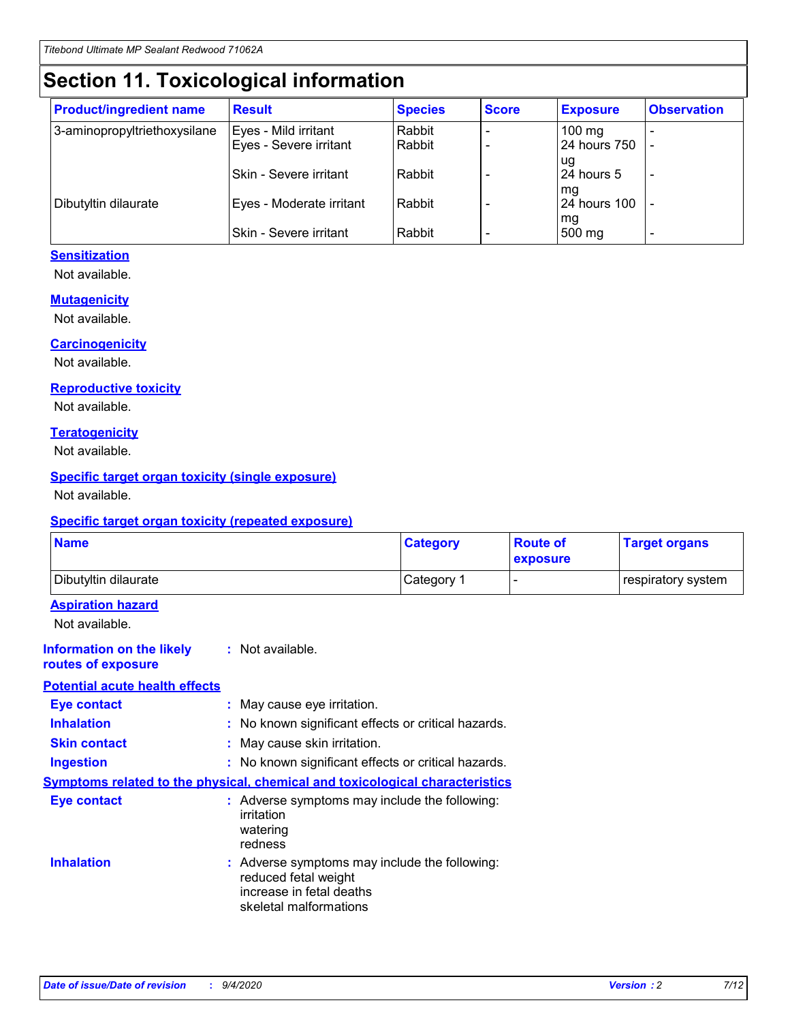# **Section 11. Toxicological information**

| <b>Product/ingredient name</b> | <b>Result</b>            | <b>Species</b> | <b>Score</b> | <b>Exposure</b>           | <b>Observation</b> |
|--------------------------------|--------------------------|----------------|--------------|---------------------------|--------------------|
| 3-aminopropyltriethoxysilane   | Eyes - Mild irritant     | Rabbit         |              | $100$ mg                  |                    |
|                                | Eyes - Severe irritant   | Rabbit         |              | 24 hours 750              |                    |
|                                |                          |                |              | ug                        |                    |
|                                | Skin - Severe irritant   | Rabbit         |              | 24 hours 5                | -                  |
| Dibutyltin dilaurate           | Eyes - Moderate irritant | Rabbit         |              | mq<br><b>24 hours 100</b> |                    |
|                                |                          |                |              | mg                        |                    |
|                                | Skin - Severe irritant   | Rabbit         |              | 500 mg                    |                    |

#### **Sensitization**

Not available.

#### **Mutagenicity**

Not available.

#### **Carcinogenicity**

Not available.

#### **Reproductive toxicity**

Not available.

#### **Teratogenicity**

Not available.

#### **Specific target organ toxicity (single exposure)**

Not available.

#### **Specific target organ toxicity (repeated exposure)**

| <b>Name</b>                                                                  |                                                                            | <b>Category</b>                                     | <b>Route of</b><br>exposure | <b>Target organs</b> |  |  |
|------------------------------------------------------------------------------|----------------------------------------------------------------------------|-----------------------------------------------------|-----------------------------|----------------------|--|--|
| Dibutyltin dilaurate                                                         |                                                                            | Category 1                                          | -                           | respiratory system   |  |  |
| <b>Aspiration hazard</b><br>Not available.                                   |                                                                            |                                                     |                             |                      |  |  |
| <b>Information on the likely</b><br>routes of exposure                       | : Not available.                                                           |                                                     |                             |                      |  |  |
| <b>Potential acute health effects</b>                                        |                                                                            |                                                     |                             |                      |  |  |
| <b>Eye contact</b>                                                           | : May cause eye irritation.                                                |                                                     |                             |                      |  |  |
| <b>Inhalation</b>                                                            |                                                                            | : No known significant effects or critical hazards. |                             |                      |  |  |
| <b>Skin contact</b>                                                          |                                                                            | : May cause skin irritation.                        |                             |                      |  |  |
| <b>Ingestion</b>                                                             |                                                                            | : No known significant effects or critical hazards. |                             |                      |  |  |
| Symptoms related to the physical, chemical and toxicological characteristics |                                                                            |                                                     |                             |                      |  |  |
| <b>Eye contact</b>                                                           | irritation<br>watering<br>redness                                          | : Adverse symptoms may include the following:       |                             |                      |  |  |
| <b>Inhalation</b>                                                            | reduced fetal weight<br>increase in fetal deaths<br>skeletal malformations | : Adverse symptoms may include the following:       |                             |                      |  |  |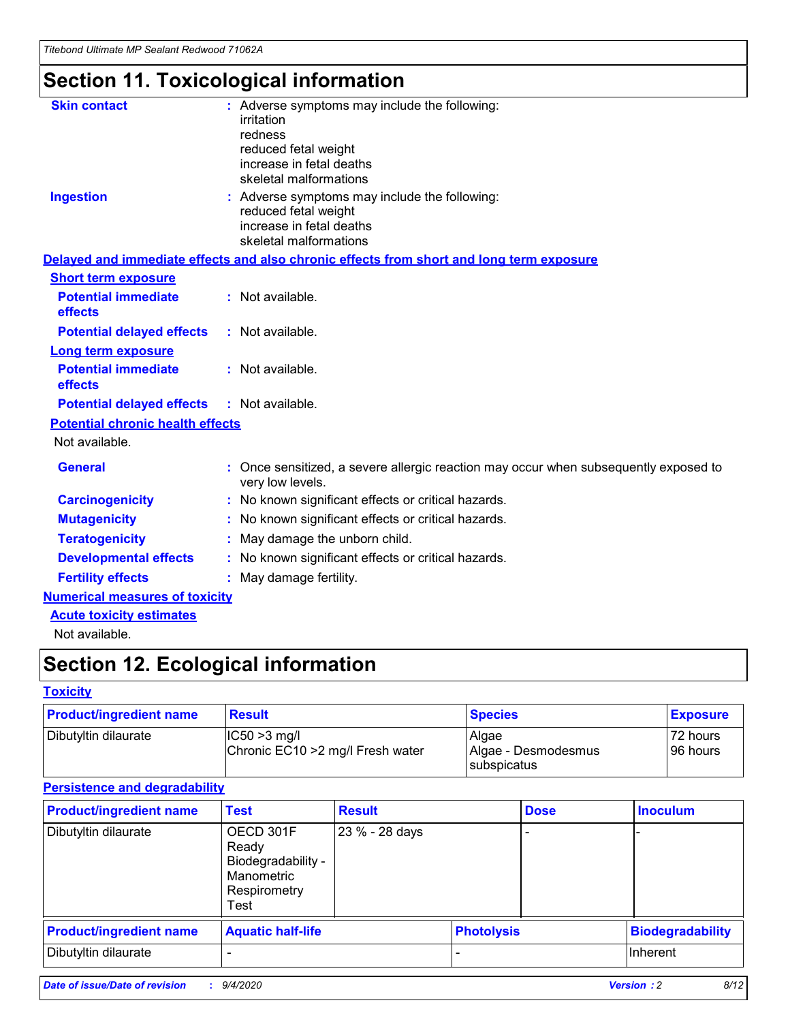# **Section 11. Toxicological information**

| <b>Skin contact</b>                     | : Adverse symptoms may include the following:<br>irritation<br>redness<br>reduced fetal weight<br>increase in fetal deaths<br>skeletal malformations |
|-----------------------------------------|------------------------------------------------------------------------------------------------------------------------------------------------------|
| <b>Ingestion</b>                        | : Adverse symptoms may include the following:<br>reduced fetal weight<br>increase in fetal deaths<br>skeletal malformations                          |
|                                         | Delayed and immediate effects and also chronic effects from short and long term exposure                                                             |
| <b>Short term exposure</b>              |                                                                                                                                                      |
| <b>Potential immediate</b><br>effects   | : Not available.                                                                                                                                     |
| <b>Potential delayed effects</b>        | : Not available.                                                                                                                                     |
| <b>Long term exposure</b>               |                                                                                                                                                      |
| <b>Potential immediate</b><br>effects   | : Not available.                                                                                                                                     |
| <b>Potential delayed effects</b>        | : Not available.                                                                                                                                     |
| <b>Potential chronic health effects</b> |                                                                                                                                                      |
| Not available.                          |                                                                                                                                                      |
| <b>General</b>                          | : Once sensitized, a severe allergic reaction may occur when subsequently exposed to<br>very low levels.                                             |
| <b>Carcinogenicity</b>                  | : No known significant effects or critical hazards.                                                                                                  |
| <b>Mutagenicity</b>                     | No known significant effects or critical hazards.                                                                                                    |
| <b>Teratogenicity</b>                   | May damage the unborn child.                                                                                                                         |
| <b>Developmental effects</b>            | : No known significant effects or critical hazards.                                                                                                  |
| <b>Fertility effects</b>                | : May damage fertility.                                                                                                                              |
| <b>Numerical measures of toxicity</b>   |                                                                                                                                                      |
| <b>Acute toxicity estimates</b>         |                                                                                                                                                      |
| .                                       |                                                                                                                                                      |

Not available.

# **Section 12. Ecological information**

#### **Toxicity**

| <b>Product/ingredient name</b> | <b>Result</b>                                       | <b>Species</b>               | <b>Exposure</b>       |
|--------------------------------|-----------------------------------------------------|------------------------------|-----------------------|
| Dibutyltin dilaurate           | $ CC50>3$ mg/l<br>Chronic EC10 > 2 mg/l Fresh water | Algae<br>Algae - Desmodesmus | 72 hours<br>196 hours |
|                                |                                                     | <b>I</b> subspicatus         |                       |

#### **Persistence and degradability**

| <b>Product/ingredient name</b> | <b>Test</b>                                                                    | <b>Result</b>  |                   | <b>Dose</b> | <b>Inoculum</b>         |
|--------------------------------|--------------------------------------------------------------------------------|----------------|-------------------|-------------|-------------------------|
| Dibutyltin dilaurate           | OECD 301F<br>Ready<br>Biodegradability -<br>Manometric<br>Respirometry<br>Test | 23 % - 28 days |                   |             |                         |
| <b>Product/ingredient name</b> | <b>Aquatic half-life</b>                                                       |                | <b>Photolysis</b> |             | <b>Biodegradability</b> |
| Dibutyltin dilaurate           |                                                                                |                |                   |             | <b>Inherent</b>         |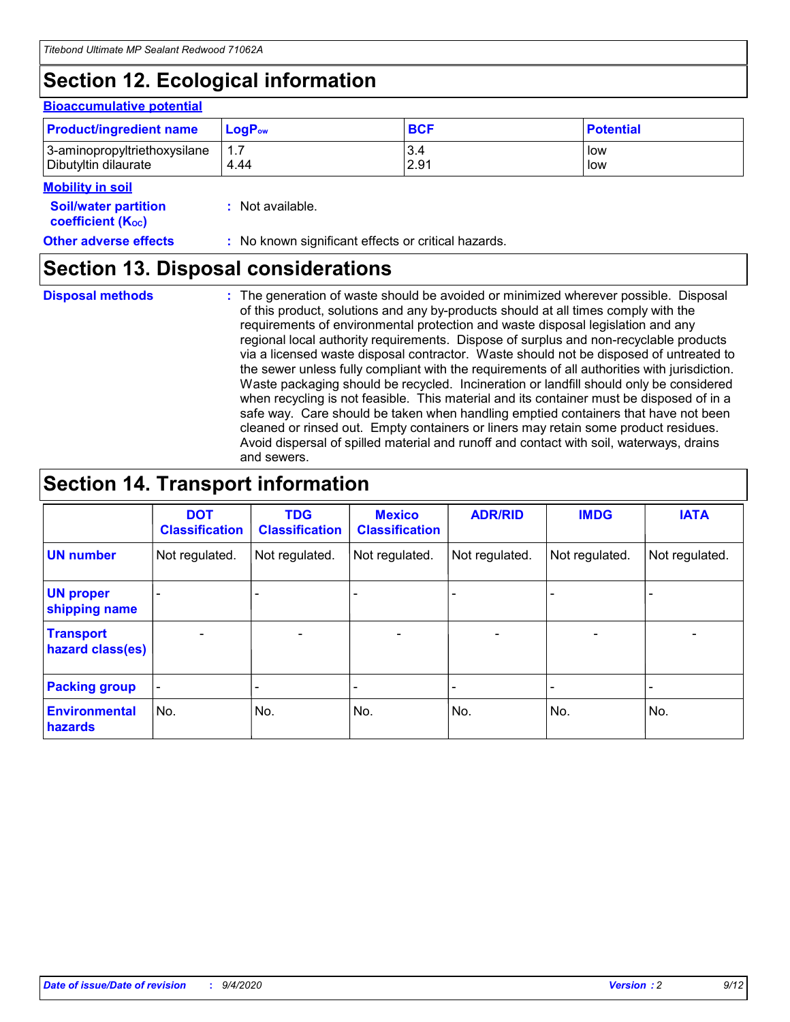# **Section 12. Ecological information**

#### **Bioaccumulative potential**

| <b>Product/ingredient name</b> | <b>LogP</b> <sub>ow</sub> | <b>BCF</b> | <b>Potential</b> |
|--------------------------------|---------------------------|------------|------------------|
| 3-aminopropyltriethoxysilane   | 4.44                      | 3.4        | low              |
| Dibutyltin dilaurate           |                           | 2.91       | low              |

#### **Mobility in soil**

| <b>Soil/water partition</b><br>coefficient (K <sub>oc</sub> ) | : Not available.                                    |
|---------------------------------------------------------------|-----------------------------------------------------|
| <b>Other adverse effects</b>                                  | : No known significant effects or critical hazards. |

### **Section 13. Disposal considerations**

**Disposal methods :**

The generation of waste should be avoided or minimized wherever possible. Disposal of this product, solutions and any by-products should at all times comply with the requirements of environmental protection and waste disposal legislation and any regional local authority requirements. Dispose of surplus and non-recyclable products via a licensed waste disposal contractor. Waste should not be disposed of untreated to the sewer unless fully compliant with the requirements of all authorities with jurisdiction. Waste packaging should be recycled. Incineration or landfill should only be considered when recycling is not feasible. This material and its container must be disposed of in a safe way. Care should be taken when handling emptied containers that have not been cleaned or rinsed out. Empty containers or liners may retain some product residues. Avoid dispersal of spilled material and runoff and contact with soil, waterways, drains and sewers.

### **Section 14. Transport information**

|                                      | <b>DOT</b><br><b>Classification</b> | <b>TDG</b><br><b>Classification</b> | <b>Mexico</b><br><b>Classification</b> | <b>ADR/RID</b>           | <b>IMDG</b>              | <b>IATA</b>    |
|--------------------------------------|-------------------------------------|-------------------------------------|----------------------------------------|--------------------------|--------------------------|----------------|
| <b>UN number</b>                     | Not regulated.                      | Not regulated.                      | Not regulated.                         | Not regulated.           | Not regulated.           | Not regulated. |
| <b>UN proper</b><br>shipping name    |                                     |                                     |                                        |                          |                          |                |
| <b>Transport</b><br>hazard class(es) |                                     | $\overline{\phantom{0}}$            | $\qquad \qquad \blacksquare$           | $\overline{\phantom{0}}$ | $\overline{\phantom{0}}$ |                |
| <b>Packing group</b>                 |                                     |                                     |                                        |                          |                          |                |
| <b>Environmental</b><br>hazards      | No.                                 | No.                                 | No.                                    | No.                      | No.                      | No.            |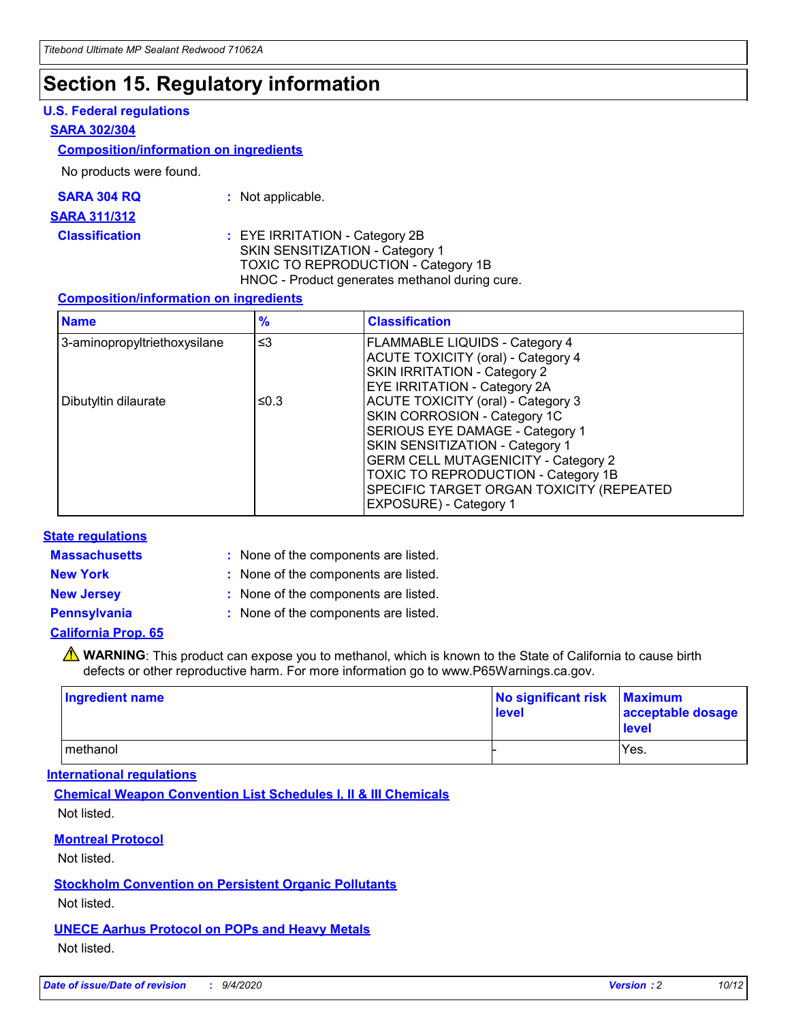### **Section 15. Regulatory information**

#### **U.S. Federal regulations**

#### **SARA 302/304**

#### **Composition/information on ingredients**

No products were found.

| SARA 304 RQ | Not applicable. |
|-------------|-----------------|
|-------------|-----------------|

#### **SARA 311/312**

#### **Classification :** EYE IRRITATION - Category 2B SKIN SENSITIZATION - Category 1 TOXIC TO REPRODUCTION - Category 1B HNOC - Product generates methanol during cure.

#### **Composition/information on ingredients**

| <b>Name</b>                  | $\frac{9}{6}$ | <b>Classification</b>                                                                                                                                                                                                                                                                                      |
|------------------------------|---------------|------------------------------------------------------------------------------------------------------------------------------------------------------------------------------------------------------------------------------------------------------------------------------------------------------------|
| 3-aminopropyltriethoxysilane | $\leq$ 3      | <b>FLAMMABLE LIQUIDS - Category 4</b><br><b>ACUTE TOXICITY (oral) - Category 4</b><br><b>SKIN IRRITATION - Category 2</b><br>EYE IRRITATION - Category 2A                                                                                                                                                  |
| Dibutyltin dilaurate         | ≤0.3          | <b>ACUTE TOXICITY (oral) - Category 3</b><br>SKIN CORROSION - Category 1C<br>SERIOUS EYE DAMAGE - Category 1<br>SKIN SENSITIZATION - Category 1<br><b>GERM CELL MUTAGENICITY - Category 2</b><br>TOXIC TO REPRODUCTION - Category 1B<br>SPECIFIC TARGET ORGAN TOXICITY (REPEATED<br>EXPOSURE) - Category 1 |

#### **State regulations**

**Massachusetts :**

: None of the components are listed.

**New York :** None of the components are listed. **New Jersey :** None of the components are listed.

**Pennsylvania :** None of the components are listed.

#### **California Prop. 65**

WARNING: This product can expose you to methanol, which is known to the State of California to cause birth defects or other reproductive harm. For more information go to www.P65Warnings.ca.gov.

| Ingredient name | No significant risk Maximum<br>level | acceptable dosage<br><b>level</b> |
|-----------------|--------------------------------------|-----------------------------------|
| I methanol      |                                      | Yes.                              |

#### **International regulations**

**Chemical Weapon Convention List Schedules I, II & III Chemicals** Not listed.

#### **Montreal Protocol**

Not listed.

**Stockholm Convention on Persistent Organic Pollutants**

Not listed.

#### **UNECE Aarhus Protocol on POPs and Heavy Metals** Not listed.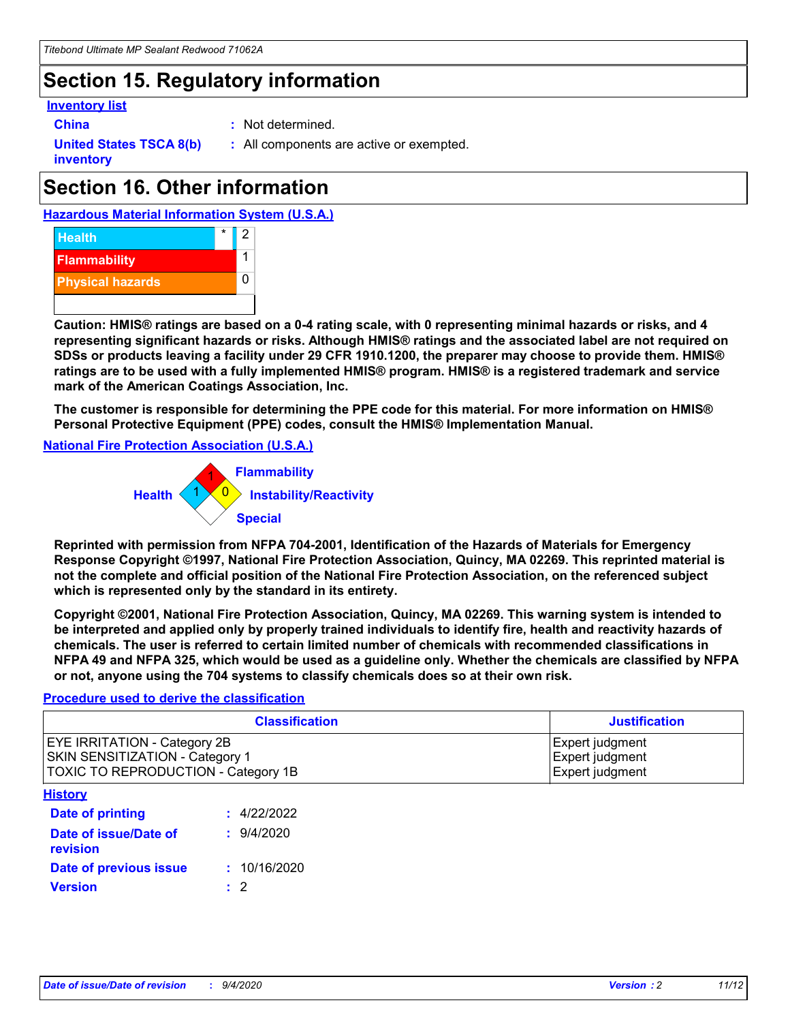### **Section 15. Regulatory information**

#### **Inventory list**

**China :** Not determined.

**United States TSCA 8(b) inventory**

**:** All components are active or exempted.

## **Section 16. Other information**





**Caution: HMIS® ratings are based on a 0-4 rating scale, with 0 representing minimal hazards or risks, and 4 representing significant hazards or risks. Although HMIS® ratings and the associated label are not required on SDSs or products leaving a facility under 29 CFR 1910.1200, the preparer may choose to provide them. HMIS® ratings are to be used with a fully implemented HMIS® program. HMIS® is a registered trademark and service mark of the American Coatings Association, Inc.**

**The customer is responsible for determining the PPE code for this material. For more information on HMIS® Personal Protective Equipment (PPE) codes, consult the HMIS® Implementation Manual.**

**National Fire Protection Association (U.S.A.)**



**Reprinted with permission from NFPA 704-2001, Identification of the Hazards of Materials for Emergency Response Copyright ©1997, National Fire Protection Association, Quincy, MA 02269. This reprinted material is not the complete and official position of the National Fire Protection Association, on the referenced subject which is represented only by the standard in its entirety.**

**Copyright ©2001, National Fire Protection Association, Quincy, MA 02269. This warning system is intended to be interpreted and applied only by properly trained individuals to identify fire, health and reactivity hazards of chemicals. The user is referred to certain limited number of chemicals with recommended classifications in NFPA 49 and NFPA 325, which would be used as a guideline only. Whether the chemicals are classified by NFPA or not, anyone using the 704 systems to classify chemicals does so at their own risk.**

#### **Procedure used to derive the classification**

| <b>Classification</b>                                                                                                | <b>Justification</b>                                  |
|----------------------------------------------------------------------------------------------------------------------|-------------------------------------------------------|
| <b>EYE IRRITATION - Category 2B</b><br><b>SKIN SENSITIZATION - Category 1</b><br>TOXIC TO REPRODUCTION - Category 1B | Expert judgment<br>Expert judgment<br>Expert judgment |
| <b>History</b>                                                                                                       |                                                       |

| .                                 |              |
|-----------------------------------|--------------|
| <b>Date of printing</b>           | : 4/22/2022  |
| Date of issue/Date of<br>revision | 9/4/2020     |
| Date of previous issue            | : 10/16/2020 |
| <b>Version</b>                    | $\cdot$ 2    |
|                                   |              |